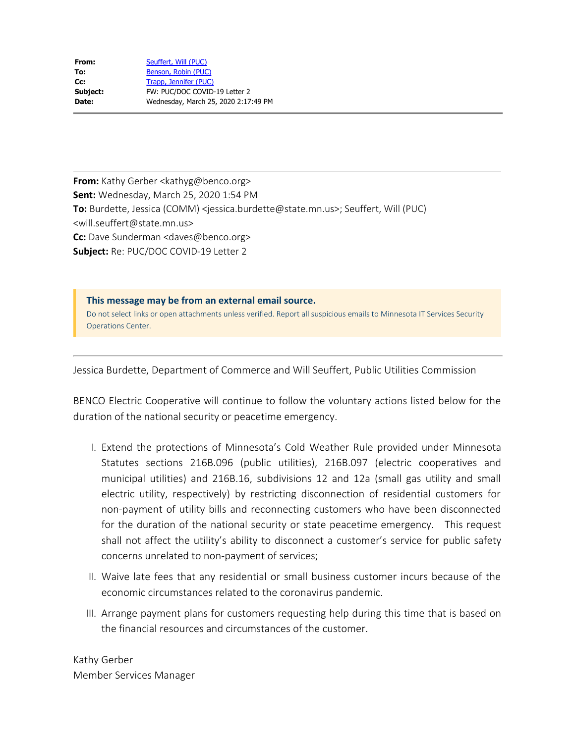| Wednesday, March 25, 2020 2:17:49 PM |
|--------------------------------------|
|                                      |

**From:** Kathy Gerber <kathyg@benco.org> **Sent:** Wednesday, March 25, 2020 1:54 PM **To:** Burdette, Jessica (COMM) <jessica.burdette@state.mn.us>; Seuffert, Will (PUC) <will.seuffert@state.mn.us> **Cc:** Dave Sunderman <daves@benco.org> **Subject:** Re: PUC/DOC COVID-19 Letter 2

**This message may be from an external email source.** Do not select links or open attachments unless verified. Report all suspicious emails to Minnesota IT Services Security Operations Center.

Jessica Burdette, Department of Commerce and Will Seuffert, Public Utilities Commission

BENCO Electric Cooperative will continue to follow the voluntary actions listed below for the duration of the national security or peacetime emergency.

- I. Extend the protections of Minnesota's Cold Weather Rule provided under Minnesota Statutes sections 216B.096 (public utilities), 216B.097 (electric cooperatives and municipal utilities) and 216B.16, subdivisions 12 and 12a (small gas utility and small electric utility, respectively) by restricting disconnection of residential customers for non-payment of utility bills and reconnecting customers who have been disconnected for the duration of the national security or state peacetime emergency. This request shall not affect the utility's ability to disconnect a customer's service for public safety concerns unrelated to non-payment of services;
- II. Waive late fees that any residential or small business customer incurs because of the economic circumstances related to the coronavirus pandemic.
- III. Arrange payment plans for customers requesting help during this time that is based on the financial resources and circumstances of the customer.

Kathy Gerber Member Services Manager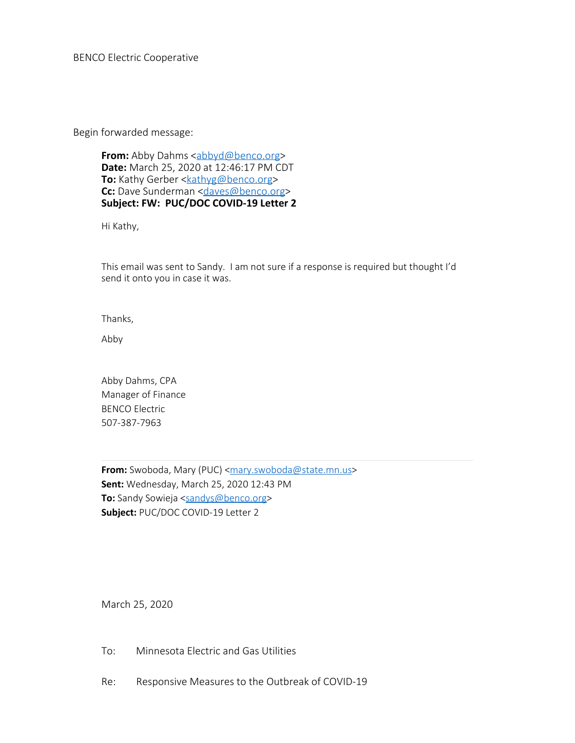BENCO Electric Cooperative

Begin forwarded message:

**From:** Abby Dahms [<abbyd@benco.org](mailto:abbyd@benco.org)> **Date:** March 25, 2020 at 12:46:17 PM CDT **To:** Kathy Gerber <[kathyg@benco.org](mailto:kathyg@benco.org)> Cc: Dave Sunderman [<daves@benco.org](mailto:daves@benco.org)> **Subject: FW: PUC/DOC COVID-19 Letter 2**

Hi Kathy,

This email was sent to Sandy. I am not sure if a response is required but thought I'd send it onto you in case it was.

Thanks,

Abby

Abby Dahms, CPA Manager of Finance BENCO Electric 507-387-7963

From: Swoboda, Mary (PUC) <[mary.swoboda@state.mn.us>](mailto:mary.swoboda@state.mn.us) **Sent:** Wednesday, March 25, 2020 12:43 PM **To:** Sandy Sowieja [<sandys@benco.org](mailto:sandys@benco.org)> **Subject:** PUC/DOC COVID-19 Letter 2

March 25, 2020

- To: Minnesota Electric and Gas Utilities
- Re: Responsive Measures to the Outbreak of COVID-19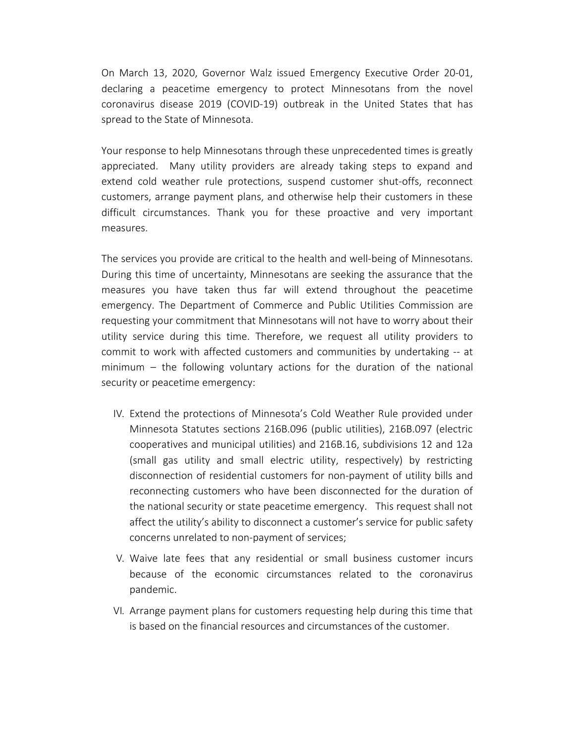On March 13, 2020, Governor Walz issued Emergency Executive Order 20-01, declaring a peacetime emergency to protect Minnesotans from the novel coronavirus disease 2019 (COVID-19) outbreak in the United States that has spread to the State of Minnesota.

Your response to help Minnesotans through these unprecedented times is greatly appreciated. Many utility providers are already taking steps to expand and extend cold weather rule protections, suspend customer shut-offs, reconnect customers, arrange payment plans, and otherwise help their customers in these difficult circumstances. Thank you for these proactive and very important measures.

The services you provide are critical to the health and well-being of Minnesotans. During this time of uncertainty, Minnesotans are seeking the assurance that the measures you have taken thus far will extend throughout the peacetime emergency. The Department of Commerce and Public Utilities Commission are requesting your commitment that Minnesotans will not have to worry about their utility service during this time. Therefore, we request all utility providers to commit to work with affected customers and communities by undertaking -- at minimum – the following voluntary actions for the duration of the national security or peacetime emergency:

- IV. Extend the protections of Minnesota's Cold Weather Rule provided under Minnesota Statutes sections 216B.096 (public utilities), 216B.097 (electric cooperatives and municipal utilities) and 216B.16, subdivisions 12 and 12a (small gas utility and small electric utility, respectively) by restricting disconnection of residential customers for non-payment of utility bills and reconnecting customers who have been disconnected for the duration of the national security or state peacetime emergency. This request shall not affect the utility's ability to disconnect a customer's service for public safety concerns unrelated to non-payment of services;
- V. Waive late fees that any residential or small business customer incurs because of the economic circumstances related to the coronavirus pandemic.
- VI. Arrange payment plans for customers requesting help during this time that is based on the financial resources and circumstances of the customer.